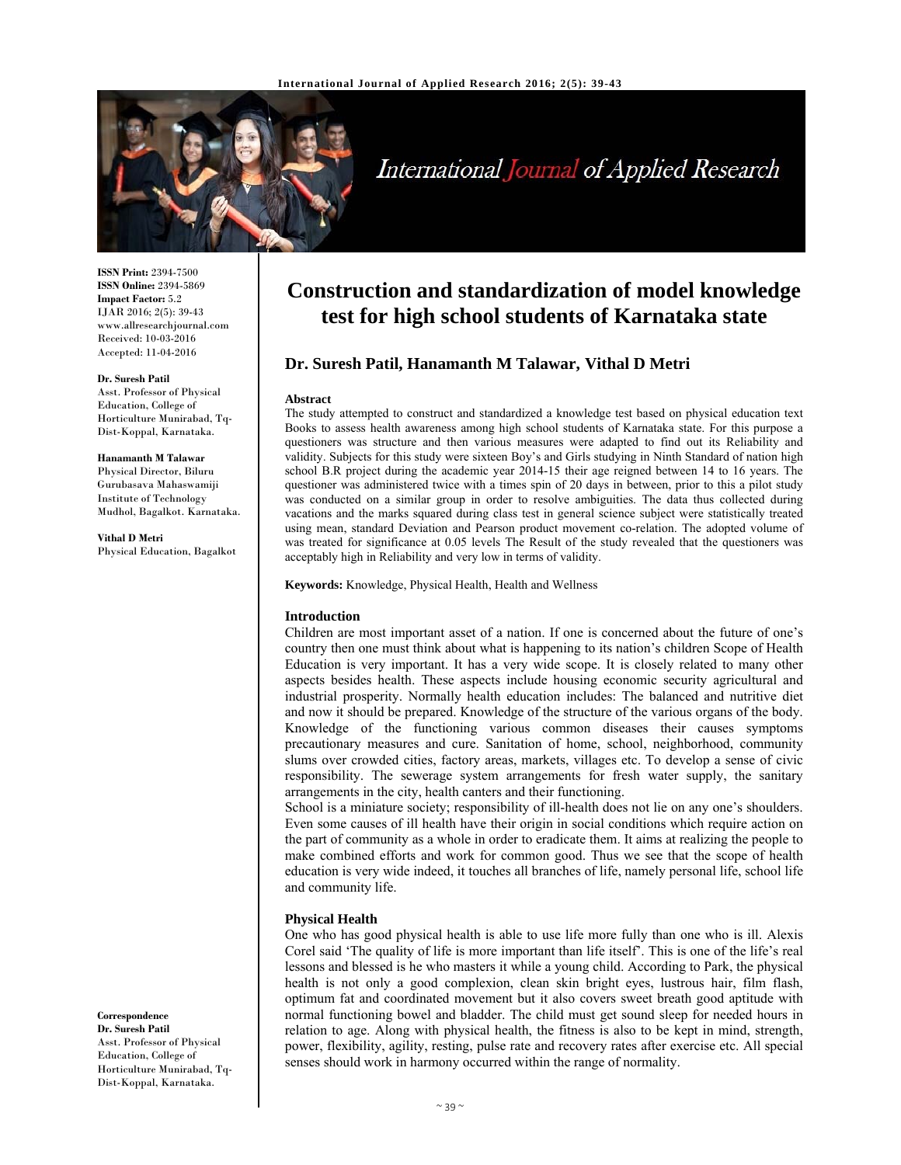

# International Journal of Applied Research

**ISSN Print:** 2394-7500 **ISSN Online:** 2394-5869 **Impact Factor:** 5.2 IJAR 2016; 2(5): 39-43 www.allresearchjournal.com Received: 10-03-2016 Accepted: 11-04-2016

#### **Dr. Suresh Patil**

Asst. Professor of Physical Education, College of Horticulture Munirabad, Tq-Dist-Koppal, Karnataka.

#### **Hanamanth M Talawar**

Physical Director, Biluru Gurubasava Mahaswamiji Institute of Technology Mudhol, Bagalkot. Karnataka.

**Vithal D Metri** Physical Education, Bagalkot

# **Construction and standardization of model knowledge test for high school students of Karnataka state**

# **Dr. Suresh Patil, Hanamanth M Talawar, Vithal D Metri**

#### **Abstract**

The study attempted to construct and standardized a knowledge test based on physical education text Books to assess health awareness among high school students of Karnataka state. For this purpose a questioners was structure and then various measures were adapted to find out its Reliability and validity. Subjects for this study were sixteen Boy's and Girls studying in Ninth Standard of nation high school B.R project during the academic year 2014-15 their age reigned between 14 to 16 years. The questioner was administered twice with a times spin of 20 days in between, prior to this a pilot study was conducted on a similar group in order to resolve ambiguities. The data thus collected during vacations and the marks squared during class test in general science subject were statistically treated using mean, standard Deviation and Pearson product movement co-relation. The adopted volume of was treated for significance at 0.05 levels The Result of the study revealed that the questioners was acceptably high in Reliability and very low in terms of validity.

**Keywords:** Knowledge, Physical Health, Health and Wellness

#### **Introduction**

Children are most important asset of a nation. If one is concerned about the future of one's country then one must think about what is happening to its nation's children Scope of Health Education is very important. It has a very wide scope. It is closely related to many other aspects besides health. These aspects include housing economic security agricultural and industrial prosperity. Normally health education includes: The balanced and nutritive diet and now it should be prepared. Knowledge of the structure of the various organs of the body. Knowledge of the functioning various common diseases their causes symptoms precautionary measures and cure. Sanitation of home, school, neighborhood, community slums over crowded cities, factory areas, markets, villages etc. To develop a sense of civic responsibility. The sewerage system arrangements for fresh water supply, the sanitary arrangements in the city, health canters and their functioning.

School is a miniature society; responsibility of ill-health does not lie on any one's shoulders. Even some causes of ill health have their origin in social conditions which require action on the part of community as a whole in order to eradicate them. It aims at realizing the people to make combined efforts and work for common good. Thus we see that the scope of health education is very wide indeed, it touches all branches of life, namely personal life, school life and community life.

#### **Physical Health**

One who has good physical health is able to use life more fully than one who is ill. Alexis Corel said 'The quality of life is more important than life itself'. This is one of the life's real lessons and blessed is he who masters it while a young child. According to Park, the physical health is not only a good complexion, clean skin bright eyes, lustrous hair, film flash, optimum fat and coordinated movement but it also covers sweet breath good aptitude with normal functioning bowel and bladder. The child must get sound sleep for needed hours in relation to age. Along with physical health, the fitness is also to be kept in mind, strength, power, flexibility, agility, resting, pulse rate and recovery rates after exercise etc. All special senses should work in harmony occurred within the range of normality.

### **Correspondence**

**Dr. Suresh Patil**  Asst. Professor of Physical Education, College of Horticulture Munirabad, Tq-Dist-Koppal, Karnataka.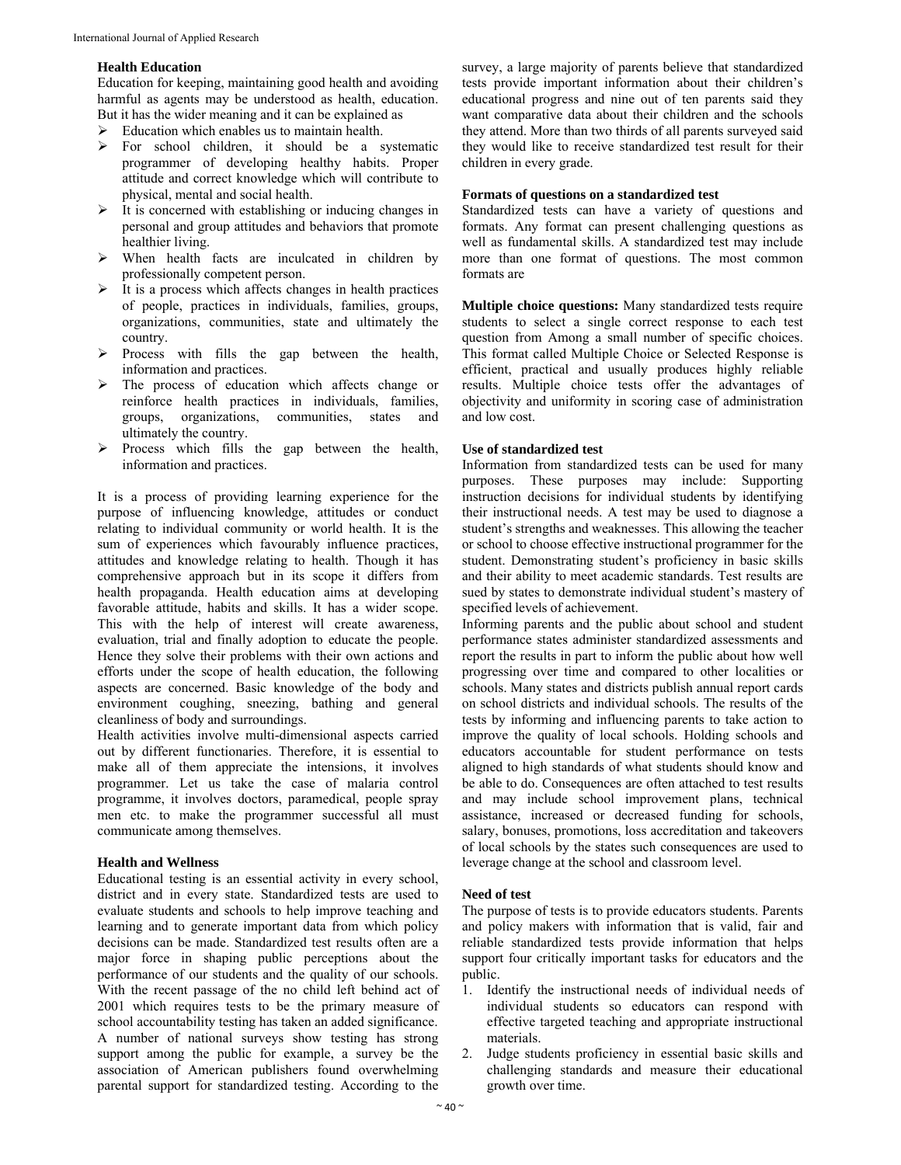### **Health Education**

Education for keeping, maintaining good health and avoiding harmful as agents may be understood as health, education. But it has the wider meaning and it can be explained as

- Education which enables us to maintain health.
- > For school children, it should be a systematic programmer of developing healthy habits. Proper attitude and correct knowledge which will contribute to physical, mental and social health.
- $\triangleright$  It is concerned with establishing or inducing changes in personal and group attitudes and behaviors that promote healthier living.
- When health facts are inculcated in children by professionally competent person.
- $\triangleright$  It is a process which affects changes in health practices of people, practices in individuals, families, groups, organizations, communities, state and ultimately the country.
- $\triangleright$  Process with fills the gap between the health, information and practices.
- $\triangleright$  The process of education which affects change or reinforce health practices in individuals, families, groups, organizations, communities, states and ultimately the country.
- $\triangleright$  Process which fills the gap between the health, information and practices.

It is a process of providing learning experience for the purpose of influencing knowledge, attitudes or conduct relating to individual community or world health. It is the sum of experiences which favourably influence practices, attitudes and knowledge relating to health. Though it has comprehensive approach but in its scope it differs from health propaganda. Health education aims at developing favorable attitude, habits and skills. It has a wider scope. This with the help of interest will create awareness, evaluation, trial and finally adoption to educate the people. Hence they solve their problems with their own actions and efforts under the scope of health education, the following aspects are concerned. Basic knowledge of the body and environment coughing, sneezing, bathing and general cleanliness of body and surroundings.

Health activities involve multi-dimensional aspects carried out by different functionaries. Therefore, it is essential to make all of them appreciate the intensions, it involves programmer. Let us take the case of malaria control programme, it involves doctors, paramedical, people spray men etc. to make the programmer successful all must communicate among themselves.

#### **Health and Wellness**

Educational testing is an essential activity in every school, district and in every state. Standardized tests are used to evaluate students and schools to help improve teaching and learning and to generate important data from which policy decisions can be made. Standardized test results often are a major force in shaping public perceptions about the performance of our students and the quality of our schools. With the recent passage of the no child left behind act of 2001 which requires tests to be the primary measure of school accountability testing has taken an added significance. A number of national surveys show testing has strong support among the public for example, a survey be the association of American publishers found overwhelming parental support for standardized testing. According to the survey, a large majority of parents believe that standardized tests provide important information about their children's educational progress and nine out of ten parents said they want comparative data about their children and the schools they attend. More than two thirds of all parents surveyed said they would like to receive standardized test result for their children in every grade.

#### **Formats of questions on a standardized test**

Standardized tests can have a variety of questions and formats. Any format can present challenging questions as well as fundamental skills. A standardized test may include more than one format of questions. The most common formats are

**Multiple choice questions:** Many standardized tests require students to select a single correct response to each test question from Among a small number of specific choices. This format called Multiple Choice or Selected Response is efficient, practical and usually produces highly reliable results. Multiple choice tests offer the advantages of objectivity and uniformity in scoring case of administration and low cost.

### **Use of standardized test**

Information from standardized tests can be used for many purposes. These purposes may include: Supporting instruction decisions for individual students by identifying their instructional needs. A test may be used to diagnose a student's strengths and weaknesses. This allowing the teacher or school to choose effective instructional programmer for the student. Demonstrating student's proficiency in basic skills and their ability to meet academic standards. Test results are sued by states to demonstrate individual student's mastery of specified levels of achievement.

Informing parents and the public about school and student performance states administer standardized assessments and report the results in part to inform the public about how well progressing over time and compared to other localities or schools. Many states and districts publish annual report cards on school districts and individual schools. The results of the tests by informing and influencing parents to take action to improve the quality of local schools. Holding schools and educators accountable for student performance on tests aligned to high standards of what students should know and be able to do. Consequences are often attached to test results and may include school improvement plans, technical assistance, increased or decreased funding for schools, salary, bonuses, promotions, loss accreditation and takeovers of local schools by the states such consequences are used to leverage change at the school and classroom level.

#### **Need of test**

The purpose of tests is to provide educators students. Parents and policy makers with information that is valid, fair and reliable standardized tests provide information that helps support four critically important tasks for educators and the public.

- 1. Identify the instructional needs of individual needs of individual students so educators can respond with effective targeted teaching and appropriate instructional materials.
- 2. Judge students proficiency in essential basic skills and challenging standards and measure their educational growth over time.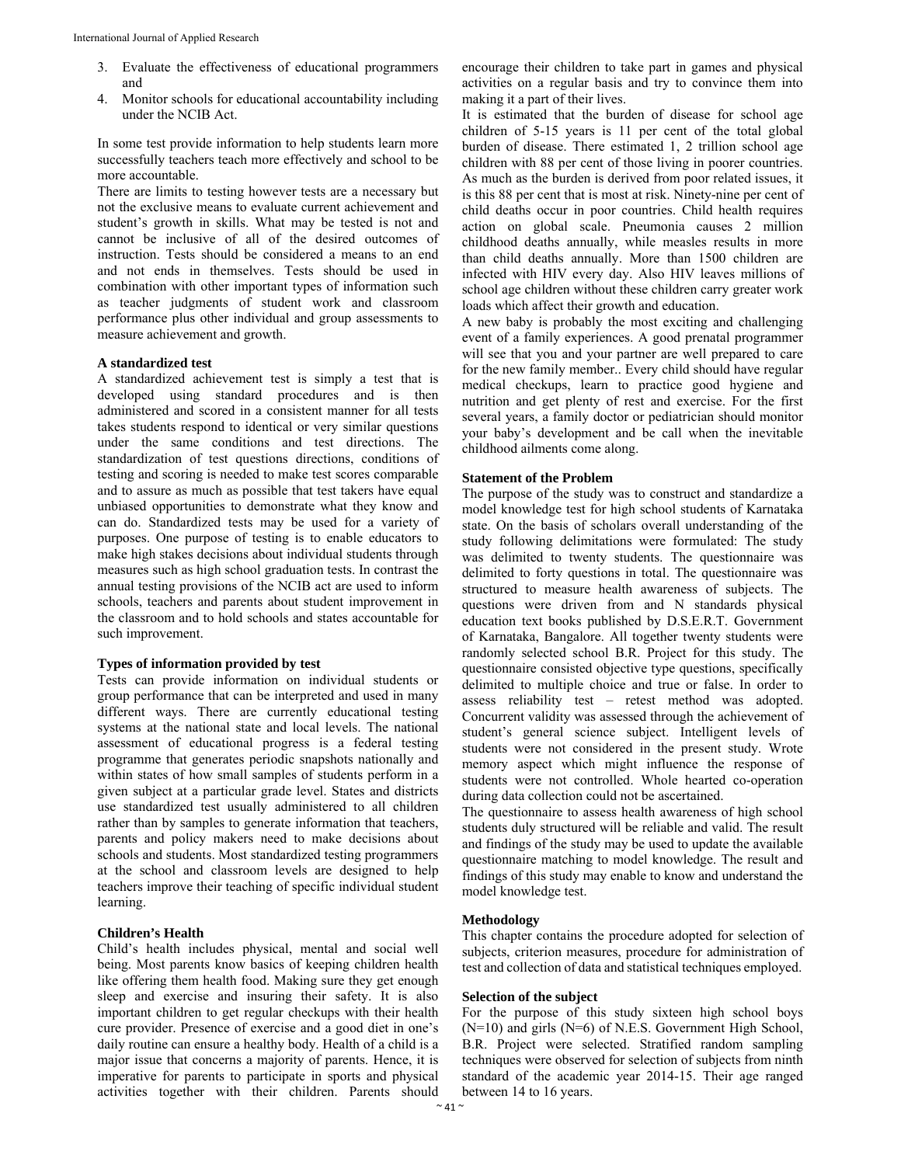- 3. Evaluate the effectiveness of educational programmers and
- 4. Monitor schools for educational accountability including under the NCIB Act.

In some test provide information to help students learn more successfully teachers teach more effectively and school to be more accountable.

There are limits to testing however tests are a necessary but not the exclusive means to evaluate current achievement and student's growth in skills. What may be tested is not and cannot be inclusive of all of the desired outcomes of instruction. Tests should be considered a means to an end and not ends in themselves. Tests should be used in combination with other important types of information such as teacher judgments of student work and classroom performance plus other individual and group assessments to measure achievement and growth.

# **A standardized test**

A standardized achievement test is simply a test that is developed using standard procedures and is then administered and scored in a consistent manner for all tests takes students respond to identical or very similar questions under the same conditions and test directions. The standardization of test questions directions, conditions of testing and scoring is needed to make test scores comparable and to assure as much as possible that test takers have equal unbiased opportunities to demonstrate what they know and can do. Standardized tests may be used for a variety of purposes. One purpose of testing is to enable educators to make high stakes decisions about individual students through measures such as high school graduation tests. In contrast the annual testing provisions of the NCIB act are used to inform schools, teachers and parents about student improvement in the classroom and to hold schools and states accountable for such improvement.

#### **Types of information provided by test**

Tests can provide information on individual students or group performance that can be interpreted and used in many different ways. There are currently educational testing systems at the national state and local levels. The national assessment of educational progress is a federal testing programme that generates periodic snapshots nationally and within states of how small samples of students perform in a given subject at a particular grade level. States and districts use standardized test usually administered to all children rather than by samples to generate information that teachers, parents and policy makers need to make decisions about schools and students. Most standardized testing programmers at the school and classroom levels are designed to help teachers improve their teaching of specific individual student learning.

#### **Children's Health**

Child's health includes physical, mental and social well being. Most parents know basics of keeping children health like offering them health food. Making sure they get enough sleep and exercise and insuring their safety. It is also important children to get regular checkups with their health cure provider. Presence of exercise and a good diet in one's daily routine can ensure a healthy body. Health of a child is a major issue that concerns a majority of parents. Hence, it is imperative for parents to participate in sports and physical activities together with their children. Parents should encourage their children to take part in games and physical activities on a regular basis and try to convince them into making it a part of their lives.

It is estimated that the burden of disease for school age children of 5-15 years is 11 per cent of the total global burden of disease. There estimated 1, 2 trillion school age children with 88 per cent of those living in poorer countries. As much as the burden is derived from poor related issues, it is this 88 per cent that is most at risk. Ninety-nine per cent of child deaths occur in poor countries. Child health requires action on global scale. Pneumonia causes 2 million childhood deaths annually, while measles results in more than child deaths annually. More than 1500 children are infected with HIV every day. Also HIV leaves millions of school age children without these children carry greater work loads which affect their growth and education.

A new baby is probably the most exciting and challenging event of a family experiences. A good prenatal programmer will see that you and your partner are well prepared to care for the new family member.. Every child should have regular medical checkups, learn to practice good hygiene and nutrition and get plenty of rest and exercise. For the first several years, a family doctor or pediatrician should monitor your baby's development and be call when the inevitable childhood ailments come along.

#### **Statement of the Problem**

The purpose of the study was to construct and standardize a model knowledge test for high school students of Karnataka state. On the basis of scholars overall understanding of the study following delimitations were formulated: The study was delimited to twenty students. The questionnaire was delimited to forty questions in total. The questionnaire was structured to measure health awareness of subjects. The questions were driven from and N standards physical education text books published by D.S.E.R.T. Government of Karnataka, Bangalore. All together twenty students were randomly selected school B.R. Project for this study. The questionnaire consisted objective type questions, specifically delimited to multiple choice and true or false. In order to assess reliability test – retest method was adopted. Concurrent validity was assessed through the achievement of student's general science subject. Intelligent levels of students were not considered in the present study. Wrote memory aspect which might influence the response of students were not controlled. Whole hearted co-operation during data collection could not be ascertained.

The questionnaire to assess health awareness of high school students duly structured will be reliable and valid. The result and findings of the study may be used to update the available questionnaire matching to model knowledge. The result and findings of this study may enable to know and understand the model knowledge test.

# **Methodology**

This chapter contains the procedure adopted for selection of subjects, criterion measures, procedure for administration of test and collection of data and statistical techniques employed.

#### **Selection of the subject**

For the purpose of this study sixteen high school boys (N=10) and girls (N=6) of N.E.S. Government High School, B.R. Project were selected. Stratified random sampling techniques were observed for selection of subjects from ninth standard of the academic year 2014-15. Their age ranged between 14 to 16 years.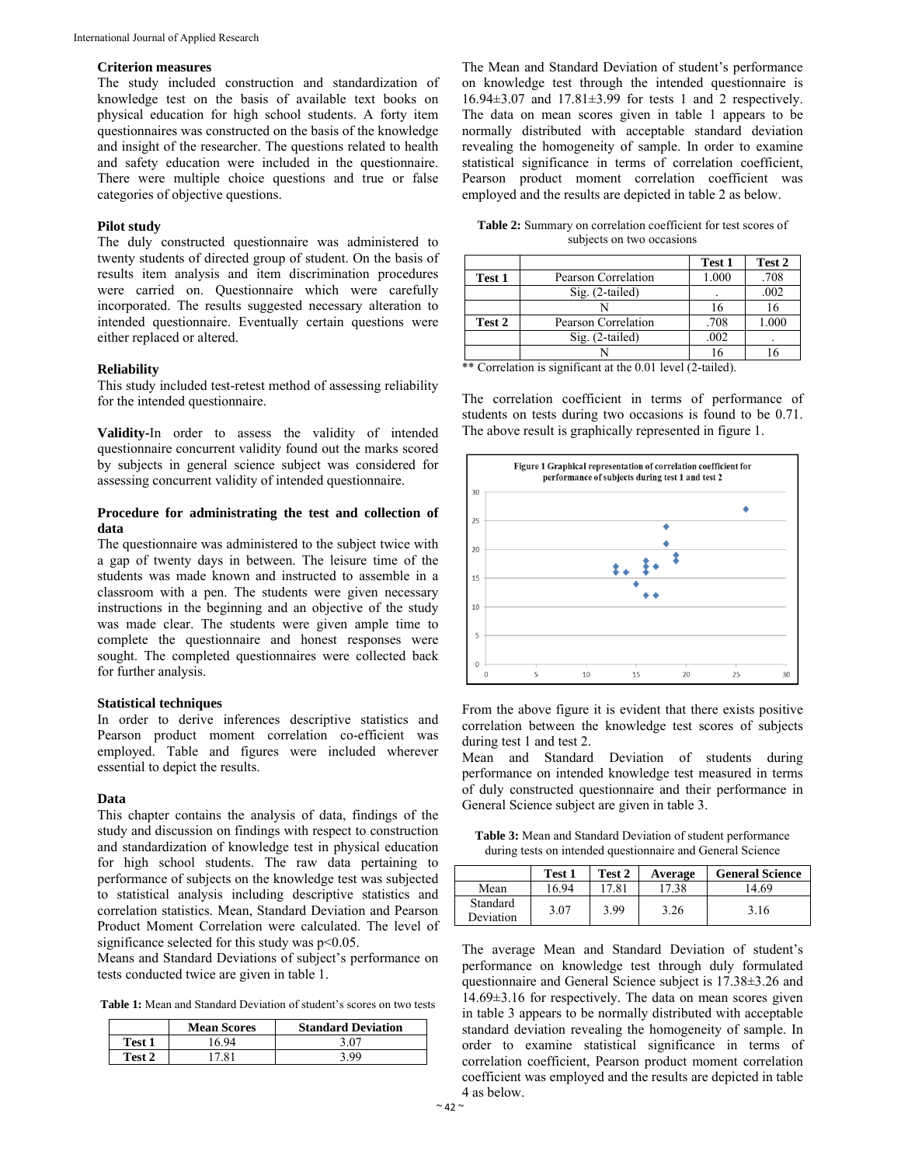# **Criterion measures**

The study included construction and standardization of knowledge test on the basis of available text books on physical education for high school students. A forty item questionnaires was constructed on the basis of the knowledge and insight of the researcher. The questions related to health and safety education were included in the questionnaire. There were multiple choice questions and true or false categories of objective questions.

# **Pilot study**

The duly constructed questionnaire was administered to twenty students of directed group of student. On the basis of results item analysis and item discrimination procedures were carried on. Questionnaire which were carefully incorporated. The results suggested necessary alteration to intended questionnaire. Eventually certain questions were either replaced or altered.

#### **Reliability**

This study included test-retest method of assessing reliability for the intended questionnaire.

**Validity-**In order to assess the validity of intended questionnaire concurrent validity found out the marks scored by subjects in general science subject was considered for assessing concurrent validity of intended questionnaire.

# **Procedure for administrating the test and collection of data**

The questionnaire was administered to the subject twice with a gap of twenty days in between. The leisure time of the students was made known and instructed to assemble in a classroom with a pen. The students were given necessary instructions in the beginning and an objective of the study was made clear. The students were given ample time to complete the questionnaire and honest responses were sought. The completed questionnaires were collected back for further analysis.

#### **Statistical techniques**

In order to derive inferences descriptive statistics and Pearson product moment correlation co-efficient was employed. Table and figures were included wherever essential to depict the results.

# **Data**

This chapter contains the analysis of data, findings of the study and discussion on findings with respect to construction and standardization of knowledge test in physical education for high school students. The raw data pertaining to performance of subjects on the knowledge test was subjected to statistical analysis including descriptive statistics and correlation statistics. Mean, Standard Deviation and Pearson Product Moment Correlation were calculated. The level of significance selected for this study was p<0.05.

Means and Standard Deviations of subject's performance on tests conducted twice are given in table 1.

**Table 1:** Mean and Standard Deviation of student's scores on two tests

|        | <b>Mean Scores</b> | <b>Standard Deviation</b> |
|--------|--------------------|---------------------------|
| Test 1 | 6 94               | 3 በ7                      |
| Test 2 | 1781               | , 99                      |

The Mean and Standard Deviation of student's performance on knowledge test through the intended questionnaire is 16.94±3.07 and 17.81±3.99 for tests 1 and 2 respectively. The data on mean scores given in table 1 appears to be normally distributed with acceptable standard deviation revealing the homogeneity of sample. In order to examine statistical significance in terms of correlation coefficient, Pearson product moment correlation coefficient was employed and the results are depicted in table 2 as below.

**Table 2:** Summary on correlation coefficient for test scores of subjects on two occasions

|        |                     | Test 1 | Test 2 |
|--------|---------------------|--------|--------|
| Test 1 | Pearson Correlation | 1.000  | .708   |
|        | $Sig. (2-tailed)$   |        | .002   |
|        |                     | 16     |        |
| Test 2 | Pearson Correlation | .708   | 1.000  |
|        | $Sig. (2-tailed)$   | .002   |        |
|        |                     | 16     |        |

\*\* Correlation is significant at the 0.01 level (2-tailed).

The correlation coefficient in terms of performance of students on tests during two occasions is found to be 0.71. The above result is graphically represented in figure 1.



From the above figure it is evident that there exists positive correlation between the knowledge test scores of subjects during test 1 and test 2.

Mean and Standard Deviation of students during performance on intended knowledge test measured in terms of duly constructed questionnaire and their performance in General Science subject are given in table 3.

**Table 3:** Mean and Standard Deviation of student performance during tests on intended questionnaire and General Science

|                       | Test 1 | Test 2 | Average | <b>General Science</b> |
|-----------------------|--------|--------|---------|------------------------|
| Mean                  | 16.94  | 7.81   | 17.38   | 14.69                  |
| Standard<br>Deviation | 3.07   | 3.99   | 3.26    | 3.16                   |

The average Mean and Standard Deviation of student's performance on knowledge test through duly formulated questionnaire and General Science subject is 17.38±3.26 and 14.69±3.16 for respectively. The data on mean scores given in table 3 appears to be normally distributed with acceptable standard deviation revealing the homogeneity of sample. In order to examine statistical significance in terms of correlation coefficient, Pearson product moment correlation coefficient was employed and the results are depicted in table 4 as below.